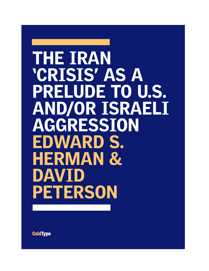## **THE IRAN 'CRISIS' AS A PRELUDE TO U.S. AND/OR ISRAELI AGGRESSION EDWARD S. HERMAN & DAVI PETERSON**

**ColdType**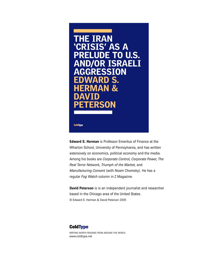

**Edward S. Herman** is Professor Emeritus of Finance at the Wharton School, University of Pennsylvania, and has written extensively on economics, political economy and the media. Among his books are *Corporate Control, Corporate Power, The Real Terror Network, Triumph of the Market,* and *Manufacturing Consent* (with Noam Chomsky). He has a regular *Fog Watch* column in Z Magazine.

**David Peterson** is is an independent journalist and researcher based in the Chicago area of the United States. © Edward S. Herman & David Peterson 2005

#### **ColdType**

WRITING WORTH READING FROM AROUND THE WORLD www.coldtype.net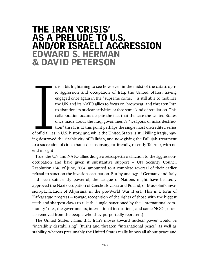### **THE IRAN 'CRISIS' AS A PRELUDE TO U.S. AND/OR ISRAELI AGGRESSION EDWARD S. HERMAN & DAVID PETERSON**

I t is a bit frightening to see how, even in the midst of the catastrophic aggression and occupation of Iraq, the United States, having engaged once again in the "supreme crime," is still able to mobilize the UN and its NATO allies to focus on, browbeat, and threaten Iran to abandon its nuclear activities or face some kind of retaliation. This collaboration occurs despite the fact that the case the United States once made about the Iraqi government's "weapons of mass destruction" threat is at this point perhaps the single most discredited series

of official lies in U.S. history, and while the United States is still killing Iraqis, having destroyed the sizable city of Fallujah, and now giving the Fallujah-treatment to a succession of cities that it deems insurgent-friendly, recently Tal Afar, with no end in sight.

True, the UN and NATO allies did give retrospective sanction to the aggressionoccupation and have given it substantive support – UN Security Council Resolution 1546 of June, 2004, amounted to a complete reversal of their earlier refusal to sanction the invasion-occupation. But by analogy, if Germany and Italy had been sufficiently powerful, the League of Nations might have belatedly approved the Nazi occupation of Czechoslovakia and Poland, or Mussolini's invasion-pacification of Abyssinia, in the pre-World War II era. This is a form of Kafkaesque progress – toward recognition of the rights of those with the biggest teeth and sharpest claws to rule the jungle, sanctioned by the "international community" (i.e., the governments, international institutions, and some NGOs, often far removed from the people who they purportedly represent).

The United States claims that Iran's moves toward nuclear power would be "incredibly destabilizing" (Bush) and threaten "international peace" as well as stability, whereas presumably the United States really knows all about peace and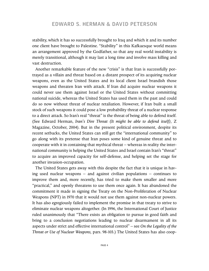stability, which it has so successfully brought to Iraq and which it and its number one client have brought to Palestine. "Stability" in this Kafkaesque world means an arrangement approved by the Godfather, so that any real world instability is merely transitional, although it may last a long time and involve mass killing and vast destruction.

Another remarkable feature of the new "crisis" is that Iran is successfully portrayed as a villain and threat based on a distant prospect of its acquiring nuclear weapons, even as the United States and its local client Israel brandish those weapons and threaten Iran with attack. If Iran did acquire nuclear weapons it could never use them against Israel or the United States without committing national suicide, whereas the United States has used them in the past and could do so now without threat of nuclear retaliation. However, if Iran built a small stock of such weapons it could pose a low probability threat of a nuclear response to a direct attack. So Iran's real "threat" is the threat of being able to defend itself. (See Edward Herman, *Iran's Dire Threat (It might be able to defend itself),* Z Magazine, October, 2004). But in the present political environment, despite its recent setbacks, the United States can still get the "international community" to go along with its pretense that Iran poses some kind of genuine threat and to cooperate with it in containing that mythical threat – whereas in reality the international community is helping the United States and Israel contain Iran's "threat" to acquire an improved capacity for self-defense, and helping set the stage for another invasion-occupation.

The United States gets away with this despite the fact that it is unique in having used nuclear weapons – and against civilian populations – continues to improve them and, more recently, has tried to make them smaller and more "practical," and openly threatens to use them once again. It has abandoned the commitment it made in signing the Treaty on the Non-Proliferation of Nuclear Weapons (NPT) in 1970 that it would not use them against non-nuclear powers. It has also egregiously failed to implement the promise in that treaty to strive to eliminate nuclear weapons altogether. (In 1996, the International Court of Justice ruled unanimously that "There exists an obligation to pursue in good faith and bring to a conclusion negotiations leading to nuclear disarmament in all its aspects under strict and effective international control" – see *On the Legality of the Threat or Use of Nuclear Weapons,* pars. 98-103.) The United States has also coop-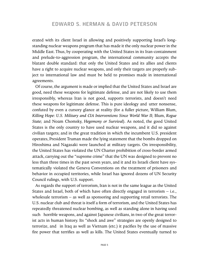erated with its client Israel in allowing and positively supporting Israel's longstanding nuclear weapons program that has made it the only nuclear power in the Middle East. Thus, by cooperating with the United States in its Iran-containment and prelude-to-aggression program, the international community accepts the blatant double standard: that only the United States and its allies and clients have a right to acquire nuclear weapons, and only their targets are properly subject to international law and must be held to promises made in international agreements.

Of course, the argument is made or implied that the United States and Israel are good, need these weapons for legitimate defense, and are not likely to use them irresponsibly, whereas Iran is not good, supports terrorists, and doesn't need these weapons for legitimate defense. This is pure ideology and utter nonsense, confuted by even a cursory glance at reality (for a fuller picture, William Blum, *Killing Hope: U.S. Military and CIA Interventions Since World War II*; Blum, *Rogue State;* and Noam Chomsky, *Hegemony or Survival*). As noted, the good United States is the only country to have used nuclear weapons, and it did so against civilian targets; and in the great tradition in which the incumbent U.S. president operates, President Truman made the lying statement that the bombs dropped on Hiroshima and Nagasaki were launched at military targets. On irresponsibility, the United States has violated the UN Charter prohibition of cross-border armed attack, carrying out the "supreme crime" that the UN was designed to prevent no less than three times in the past seven years, and it and its Israeli client have systematically violated the Geneva Conventions on the treatment of prisoners and behavior in occupied territories, while Israel has ignored dozens of UN Security Council rulings, with U.S. support.

As regards the support of terrorism, Iran is not in the same league as the United States and Israel, both of which have often directly engaged in terrorism – i.e., wholesale terrorism – as well as sponsoring and supporting retail terrorists. The U.S. nuclear club and threat is itself a form of terrorism, and the United States has repeatedly threatened nuclear bombing, as well as standing alone in having used such horrible weapons, and against Japanese civilians, in two of the great terrorist acts in human history. Its "shock and awe" strategies are openly designed to terrorize, and in Iraq as well as Vietnam (etc.) it pacifies by the use of massive fire power that terrifies as well as kills. The United States eventually turned to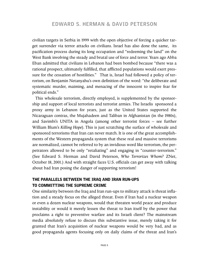civilian targets in Serbia in 1999 with the open objective of forcing a quicker target surrender via terror attacks on civilians. Israel has also done the same, its pacification process during its long occupation and "redeeming the land" on the West Bank involving the steady and brutal use of force and terror. Years ago Abba Eban admitted that civilians in Lebanon had been bombed because "there was a rational prospect, ultimately fulfilled, that afflicted populations would exert pressure for the cessation of hostilities." That is, Israel had followed a policy of terrorism, on Benjamin Netanyahu's own definition of the word: "the deliberate and systematic murder, maiming, and menacing of the innocent to inspire fear for political ends."

This wholesale terrorism, directly employed, is supplemented by the sponsorship and support of local terrorists and terrorist armies. The Israelis sponsored a proxy army in Lebanon for years, just as the United States supported the Nicaraguan contras, the Mujahadeen and Taliban in Afghanistan (in the 1980s), and Savimbi's UNITA in Angola (among other terrorist forces – see further William Blum's *Killing Hope*). This is just scratching the surface of wholesale and sponsored terrorisms that Iran can never match. It is one of the great accomplishments of the Western propaganda system that these real and massive terrorisms are normalized, cannot be referred to by an invidious word like terrorism, the perpetrators allowed to be only "retaliating" and engaging in "counter-terrorism." (See Edward S. Herman and David Peterson, *Who Terrorizes Whom?* ZNet, October 18, 2001.) And with straight faces U.S. officials can get away with talking about bad Iran posing the danger of supporting terrorism!

#### **THE PARALLELS BETWEEN THE IRAQ AND IRAN RUN-UPS TO COMMITTING THE SUPREME CRIME**

One similarity between the Iraq and Iran run-ups to military attack is threat inflation and a steady focus on the alleged threat. Even if Iran had a nuclear weapon or even a dozen nuclear weapons, would that threaten world peace and produce instability or would it merely lessen the threat to Iran itself by the power that proclaims a right to preventive warfare and its Israeli client? The mainstream media absolutely refuse to discuss this substantive issue, merely taking it for granted that Iran's acquisition of nuclear weapons would be very bad, and as good propaganda agents focusing only on daily claims of the threat and Iran's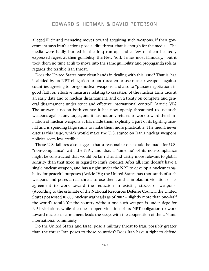alleged illicit and menacing moves toward acquiring such weapons. If their government says Iran's actions pose a dire threat, that is enough for the media. The media were badly burned in the Iraq run-up, and a few of them belatedly expressed regret at their gullibility, the New York Times most famously, but it took them no time at all to move into the same gullibility and propaganda role as regards the terrible Iran threat.

Does the United States have clean hands in dealing with this issue? That is, has it abided by its NPT obligation to not threaten or use nuclear weapons against countries agreeing to forego nuclear weapons, and also to "pursue negotiations in good faith on effective measures relating to cessation of the nuclear arms race at an early date and to nuclear disarmament, and on a treaty on complete and general disarmament under strict and effective international control" (Article VI)? The answer is no on both counts: it has now openly threatened to use such weapons against any target, and it has not only refused to work toward the elimination of nuclear weapons, it has made them explicitly a part of its fighting arsenal and is spending large sums to make them more practicable. The media never discuss this issue, which would make the U.S. stance on Iran's nuclear weapons policies seem less credible.

These U.S. failures also suggest that a reasonable case could be made for U.S. "non-compliance" with the NPT, and that a "timeline" of its non-compliance might be constructed that would be far richer and vastly more relevant to global security than that fixed in regard to Iran's conduct. After all, Iran doesn't have a single nuclear weapon, and has a right under the NPT to develop a nuclear capability for peaceful purposes (Article IV); the United States has thousands of such weapons and poses a real threat to use them, and is in blatant violation of its agreement to work toward the reduction in existing stocks of weapons. (According to the estimate of the National Resources Defense Council, the United States possessed 10,600 nuclear warheads as of 2002 – slightly more than one-half the world's total.) Yet the country without one such weapon is under siege for NPT violations while the one in open violation of its NPT obligation to work toward nuclear disarmament leads the siege, with the cooperation of the UN and international community.

Do the United States and Israel pose a military threat to Iran, possibly greater than the threat Iran poses to those countries? Does Iran have a right to defend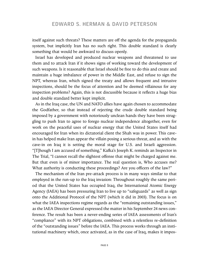itself against such threats? These matters are off the agenda for the propaganda system, but implicitly Iran has no such right. This double standard is clearly something that would be awkward to discuss openly.

Israel has developed and produced nuclear weapons and threatened to use them and to attack Iran if it shows signs of working toward the development of such weapons. Is it reasonable that Israel should be free to do this and create and maintain a huge imbalance of power in the Middle East, and refuse to sign the NPT, whereas Iran, which signed the treaty and allows frequent and intrusive inspections, should be the focus of attention and be deemed villainous for any inspection problems? Again, this is not discussible because it reflects a huge bias and double standard better kept implicit.

As in the Iraq case, the UN and NATO allies have again chosen to accommodate the Godfather, so that instead of rejecting the crude double standard being imposed by a government with notoriously unclean hands they have been struggling to push Iran to agree to forego nuclear independence altogether, even for work on the peaceful uses of nuclear energy that the United States itself had encouraged for Iran when its dictatorial client the Shah was in power. This cavein has helped make Iran appear the villain posing a serious threat, and as with the cave-in on Iraq it is setting the moral stage for U.S. and Israeli aggression. "[T]hough I am accused of something," Kafka's Joseph K. reminds an Inspector in The Trial, "I cannot recall the slightest offense that might be charged against me. But that even is of minor importance. The real question is, Who accuses me? What authority is conducting these proceedings? Are you officers of the law?"

The mechanism of the Iran pre-attack process is in many ways similar to that employed in the run-up to the Iraq invasion: Throughout roughly the same period that the United States has occupied Iraq, the International Atomic Energy Agency (IAEA) has been pressuring Iran to live up to "safeguards" as well as sign onto the Additional Protocol of the NPT (which it did in 2003). The focus is on what the IAEA inspections regime regards as the "remaining outstanding issues," as the IAEA Director General expressed the matter in his September 24 news conference. The result has been a never-ending series of IAEA assessments of Iran's "compliance" with its NPT obligations, combined with a relentless re-definition of the "outstanding issues" before the IAEA. This process works through an institutional machinery which, once activated, as in the case of Iraq, makes it impos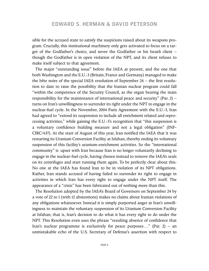sible for the accused state to satisfy the suspicions raised about its weapons program. Crucially, this institutional machinery only gets activated to focus on a target of the Godfather's choice, and never the Godfather or his Israeli client – though the Godfather is in open violation of the NPT, and its client refuses to make itself subject to that agreement.

The major "outstanding issue" before the IAEA at present, and the one that both Washington and the E.U.-3 (Britain, France and Germany) managed to make the bête noire of the special IAEA resolution of September 24 – the first resolution to date to raise the possibility that the Iranian nuclear program could fall "within the competence of the Security Council, as the organ bearing the main responsibility for the maintenance of international peace and security" (Par. 2) – turns on Iran's unwillingness to surrender its right under the NPT to engage in the nuclear-fuel cycle. In the November, 2004 Paris Agreement with the E.U.-3, Iran had agreed to "extend its suspension to include all enrichment related and reprocessing activities," while gaining the E.U.-3's recognition that "this suspension is a voluntary confidence building measure and not a legal obligation" (INF-CIRC/637). At the start of August of this year, Iran notified the IAEA that it was restarting its Uranium Conversion Facility at Isfahan, thereby ending its voluntary suspension of this facility's uranium-enrichment activities. So the "international community" is upset with Iran because Iran is no longer voluntarily declining to engage in the nuclear-fuel cycle, having chosen instead to remove the IAEA's seals on its centrifuges and start running them again. To be perfectly clear about this: No one at the IAEA has found Iran to be in violation of its NPT obligations. Rather, Iran stands accused of having failed to surrender its right to engage in activities in which Iran has every right to engage under the NPT itself. The appearance of a "crisis" has been fabricated out of nothing more than this.

The Resolution adopted by the IAEA's Board of Governors on September 24 by a vote of 22 to 1 (with 12 abstentions) makes no claims about Iranian violations of any obligations whatsoever. Instead it is simply purported anger at Iran's unwillingness to maintain the voluntary suspension of its Uranium Conversion Facility at Isfahan; that is, Iran's decision to do what it has every right to do under the NPT. This Resolution even uses the phrase "resulting absence of confidence that Iran's nuclear programme is exclusively for peace purposes..." (Par. 2) – an unmistakable echo of the U.S. Secretary of Defense's assertion with respect to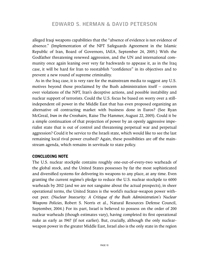alleged Iraqi weapons capabilities that the "absence of evidence is not evidence of absence." (Implementation of the NPT Safeguards Agreement in the Islamic Republic of Iran, Board of Governors, IAEA, September 24, 2005.) With the Godfather threatening renewed aggression, and the UN and international community once again leaning over very far backwards to appease it, as in the Iraq case, it will be hard for Iran to reestablish "confidence" in its objectives and to prevent a new round of supreme criminality.

As in the Iraq case, it is very rare for the mainstream media to suggest any U.S. motives beyond those proclaimed by the Bush administration itself – concern over violations of the NPT, Iran's deceptive actions, and possible instability and nuclear support of terrorists. Could the U.S. focus be based on worry over a stillindependent oil power in the Middle East that has even proposed organizing an alternative oil contracting market with business done in Euros? (See Ryan McGreal, *Iran in the Crosshairs,* Raise The Hammer, August 22, 2005). Could it be a simple continuation of that projection of power by an openly aggressive imperialist state that is out of control and threatening perpetual war and perpetual aggression? Could it be service to the Israeli state, which would like to see the last remaining local rival power crushed? Again, these possibilities are off the mainstream agenda, which remains in servitude to state policy.

#### **CONCLUDING NOTE**

The U.S. nuclear stockpile contains roughly one-out-of-every-two warheads of the global stock, and the United States possesses by far the most sophisticated and diversified systems for delivering its weapons to any place, at any time. Even granting the current regime's pledge to reduce the U.S. nuclear stockpile to 6000 warheads by 2012 (and we are not sanguine about the actual prospects), in sheer operational terms, the United States is the world's nuclear-weapon power without peer. *(Nuclear Insecurity: A Critique of the Bush Administration's Nuclear Weapons Policies*, Robert S. Norris et al., Natural Resources Defense Council, September, 2004.) For its part, Israel is believed to possess on the order of 200 nuclear warheads (though estimates vary), having completed its first operational nuke as early as 1967 (if not earlier). But, crucially, although the only nuclearweapon power in the greater Middle East, Israel also is the only state in the region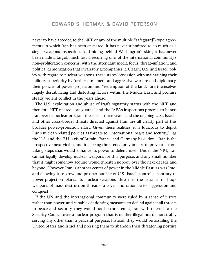never to have acceded to the NPT or any of the multiple "safeguard"-type agreements in which Iran has been ensnared. It has never submitted to so much as a single weapons inspection. And hiding behind Washington's skirt, it has never been made a target, much less a recurring one, of the international community's non-proliferation concerns, with the attendant media focus, threat-inflation, and political demonization that invariably accompanies it. Clearly, U.S. and Israeli policy with regard to nuclear weapons, these states' obsession with maintaining their military superiority by further armament and aggressive warfare and diplomacy, their policies of power-projection and "redemption of the land," are themselves hugely destabilizing and distorting factors within the Middle East, and promise steady violent conflict in the years ahead.

The U.S. exploitation and abuse of Iran's signatory status with the NPT, and therefore NPT-related "safeguards" and the IAEA's inspections process, to harass Iran over its nuclear program these past three years, and the ongoing U.S., Israeli, and other cross-border threats directed against Iran, are all clearly part of this broader power-projection effort. Given these realities, it is ludicrous to depict Iran's nuclear-related policies as threats to "international peace and security," as the U.S. and the E.U.-axis of Britain, France, and Germany have done. Iran is the prospective next victim, and it is being threatened only in part to prevent it from taking steps that would enhance its power to defend itself. Under the NPT, Iran cannot legally develop nuclear weapons for this purpose, and any small number that it might somehow acquire would threaten nobody over the next decade and beyond. However, Iran is another center of power in the Middle East, as was Iraq, and allowing it to grow and prosper outside of U.S.-Israeli control is contrary to power-projection plans. Its nuclear-weapons threat is the parallel of Iraq's weapons of mass destruction threat  $-$  a cover and rationale for aggression and conquest.

If the UN and the international community were ruled by a sense of justice rather than power, and capable of adopting measures to defend against all threats to peace and security, they would not be threatening Iran with referral to the Security Council over a nuclear program that is neither illegal not demonstrably serving any other than a peaceful purpose. Instead, they would be assailing the United States and Israel and pressing them to abandon their threatening posture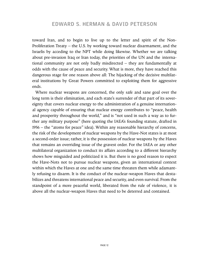toward Iran, and to begin to live up to the letter and spirit of the Non-Proliferation Treaty – the U.S. by working toward nuclear disarmament, and the Israelis by acceding to the NPT while doing likewise. Whether we are talking about pre-invasion Iraq or Iran today, the priorities of the UN and the international community are not only badly misdirected – they are fundamentally at odds with the cause of peace and security. What is more, they have reached this dangerous stage for one reason above all: The hijacking of the decisive multilateral institutions by Great Powers committed to exploiting them for aggressive ends.

Where nuclear weapons are concerned, the only safe and sane goal over the long term is their elimination, and each state's surrender of that part of its sovereignty that covers nuclear energy to the administration of a genuine international agency capable of ensuring that nuclear energy contributes to "peace, health and prosperity throughout the world," and is "not used in such a way as to further any military purpose" (here quoting the IAEA's founding statute, drafted in 1956 – the "atoms for peace" idea). Within any reasonable hierarchy of concerns, the risk of the development of nuclear weapons by the Have-Not states is at most a second-order issue; rather, it is the possession of nuclear weapons by the Haves that remains an overriding issue of the gravest order. For the IAEA or any other multilateral organization to conduct its affairs according to a different hierarchy shows how misguided and politicized it is. But there is no good reason to expect the Have-Nots not to pursue nuclear weapons, given an international context within which the Haves at one and the same time threaten them while adamantly refusing to disarm. It is the conduct of the nuclear-weapon Haves that destabilizes and threatens international peace and security, and even survival. From the standpoint of a more peaceful world, liberated from the rule of violence, it is above all the nuclear-weapon Haves that need to be deterred and contained.